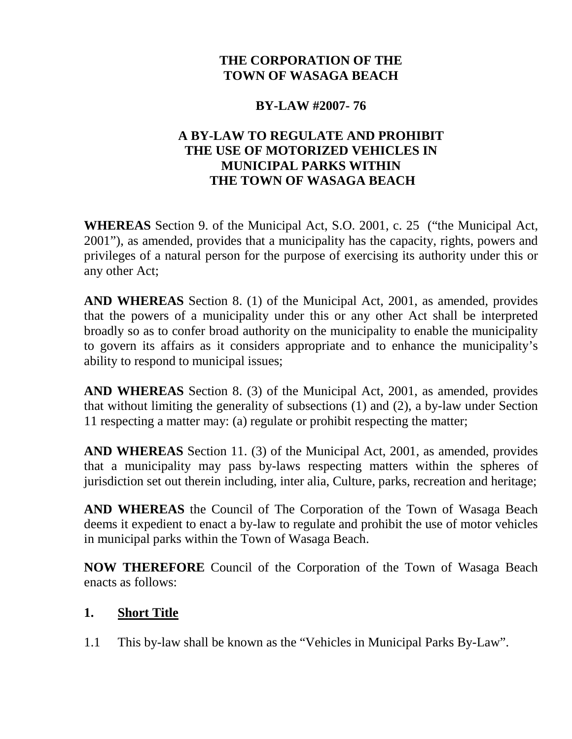# **THE CORPORATION OF THE TOWN OF WASAGA BEACH**

### **BY-LAW #2007- 76**

## **A BY-LAW TO REGULATE AND PROHIBIT THE USE OF MOTORIZED VEHICLES IN MUNICIPAL PARKS WITHIN THE TOWN OF WASAGA BEACH**

**WHEREAS** Section 9. of the Municipal Act, S.O. 2001, c. 25 ("the Municipal Act, 2001"), as amended, provides that a municipality has the capacity, rights, powers and privileges of a natural person for the purpose of exercising its authority under this or any other Act;

**AND WHEREAS** Section 8. (1) of the Municipal Act, 2001, as amended, provides that the powers of a municipality under this or any other Act shall be interpreted broadly so as to confer broad authority on the municipality to enable the municipality to govern its affairs as it considers appropriate and to enhance the municipality's ability to respond to municipal issues;

**AND WHEREAS** Section 8. (3) of the Municipal Act, 2001, as amended, provides that without limiting the generality of subsections (1) and (2), a by-law under Section 11 respecting a matter may: (a) regulate or prohibit respecting the matter;

**AND WHEREAS** Section 11. (3) of the Municipal Act, 2001, as amended, provides that a municipality may pass by-laws respecting matters within the spheres of jurisdiction set out therein including, inter alia, Culture, parks, recreation and heritage;

**AND WHEREAS** the Council of The Corporation of the Town of Wasaga Beach deems it expedient to enact a by-law to regulate and prohibit the use of motor vehicles in municipal parks within the Town of Wasaga Beach.

**NOW THEREFORE** Council of the Corporation of the Town of Wasaga Beach enacts as follows:

# **1. Short Title**

1.1 This by-law shall be known as the "Vehicles in Municipal Parks By-Law".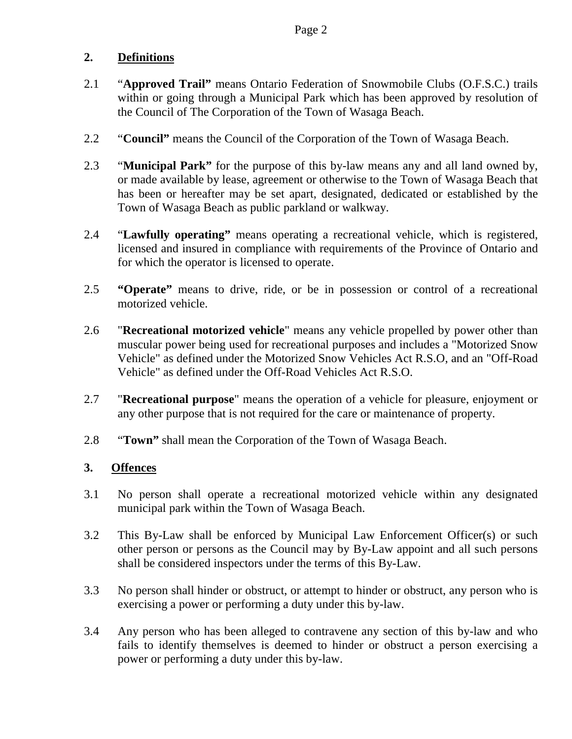## **2. Definitions**

- 2.1 "**Approved Trail"** means Ontario Federation of Snowmobile Clubs (O.F.S.C.) trails within or going through a Municipal Park which has been approved by resolution of the Council of The Corporation of the Town of Wasaga Beach.
- 2.2 "**Council"** means the Council of the Corporation of the Town of Wasaga Beach.
- 2.3 "**Municipal Park"** for the purpose of this by-law means any and all land owned by, or made available by lease, agreement or otherwise to the Town of Wasaga Beach that has been or hereafter may be set apart, designated, dedicated or established by the Town of Wasaga Beach as public parkland or walkway.
- 2.4 "**Lawfully operating"** means operating a recreational vehicle, which is registered, licensed and insured in compliance with requirements of the Province of Ontario and for which the operator is licensed to operate.
- 2.5 **"Operate"** means to drive, ride, or be in possession or control of a recreational motorized vehicle.
- 2.6 "**Recreational motorized vehicle**" means any vehicle propelled by power other than muscular power being used for recreational purposes and includes a "Motorized Snow Vehicle" as defined under the Motorized Snow Vehicles Act R.S.O, and an "Off-Road Vehicle" as defined under the Off-Road Vehicles Act R.S.O.
- 2.7 "**Recreational purpose**" means the operation of a vehicle for pleasure, enjoyment or any other purpose that is not required for the care or maintenance of property.
- 2.8 "**Town"** shall mean the Corporation of the Town of Wasaga Beach.

## **3. Offences**

- 3.1 No person shall operate a recreational motorized vehicle within any designated municipal park within the Town of Wasaga Beach.
- 3.2 This By-Law shall be enforced by Municipal Law Enforcement Officer(s) or such other person or persons as the Council may by By-Law appoint and all such persons shall be considered inspectors under the terms of this By-Law.
- 3.3 No person shall hinder or obstruct, or attempt to hinder or obstruct, any person who is exercising a power or performing a duty under this by-law.
- 3.4 Any person who has been alleged to contravene any section of this by-law and who fails to identify themselves is deemed to hinder or obstruct a person exercising a power or performing a duty under this by-law.